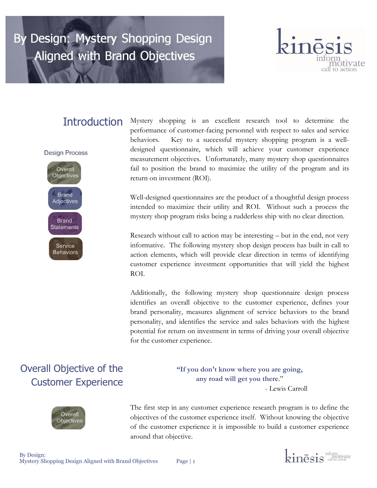# By Design: Mystery Shopping Design **Aligned with Brand Objectives**



# **Introduction**

**Design Process** 



Mystery shopping is an excellent research tool to determine the performance of customer-facing personnel with respect to sales and service behaviors. Key to a successful mystery shopping program is a welldesigned questionnaire, which will achieve your customer experience measurement objectives. Unfortunately, many mystery shop questionnaires fail to position the brand to maximize the utility of the program and its return on investment (ROI).

Well-designed questionnaires are the product of a thoughtful design process intended to maximize their utility and ROI. Without such a process the mystery shop program risks being a rudderless ship with no clear direction.

Research without call to action may be interesting – but in the end, not very informative. The following mystery shop design process has built in call to action elements, which will provide clear direction in terms of identifying customer experience investment opportunities that will yield the highest ROI.

Additionally, the following mystery shop questionnaire design process identifies an overall objective to the customer experience, defines your brand personality, measures alignment of service behaviors to the brand personality, and identifies the service and sales behaviors with the highest potential for return on investment in terms of driving your overall objective for the customer experience.

# Overall Objective of the Customer Experience



**"If you don't know where you are going, any road will get you there**." - Lewis Carroll

The first step in any customer experience research program is to define the objectives of the customer experience itself. Without knowing the objective of the customer experience it is impossible to build a customer experience around that objective.

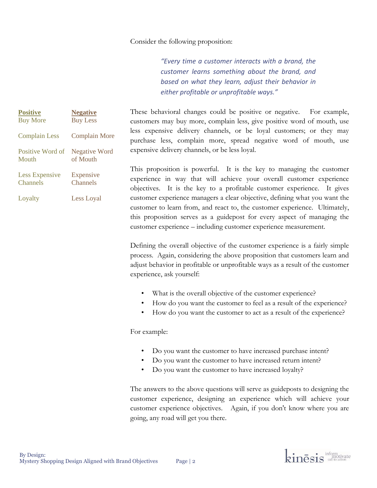### Consider the following proposition:

*"Every time a customer interacts with a brand, the customer learns something about the brand, and based on what they learn, adjust their behavior in either profitable or unprofitable ways."*

| <b>Positive</b>       | <b>Negative</b>      |
|-----------------------|----------------------|
| <b>Buy More</b>       | <b>Buy Less</b>      |
| <b>Complain Less</b>  | <b>Complain More</b> |
| Positive Word of      | Negative Word        |
| Mouth                 | of Mouth             |
| <b>Less Expensive</b> | Expensive            |
| Channels              | <b>Channels</b>      |
| Loyalty               | Less Loyal           |

These behavioral changes could be positive or negative. For example, customers may buy more, complain less, give positive word of mouth, use less expensive delivery channels, or be loyal customers; or they may purchase less, complain more, spread negative word of mouth, use expensive delivery channels, or be less loyal.

This proposition is powerful. It is the key to managing the customer experience in way that will achieve your overall customer experience objectives. It is the key to a profitable customer experience. It gives customer experience managers a clear objective, defining what you want the customer to learn from, and react to, the customer experience. Ultimately, this proposition serves as a guidepost for every aspect of managing the customer experience – including customer experience measurement.

Defining the overall objective of the customer experience is a fairly simple process. Again, considering the above proposition that customers learn and adjust behavior in profitable or unprofitable ways as a result of the customer experience, ask yourself:

- What is the overall objective of the customer experience?
- How do you want the customer to feel as a result of the experience?
- How do you want the customer to act as a result of the experience?

### For example:

- Do you want the customer to have increased purchase intent?
- Do you want the customer to have increased return intent?
- Do you want the customer to have increased loyalty?

The answers to the above questions will serve as guideposts to designing the customer experience, designing an experience which will achieve your customer experience objectives. Again, if you don't know where you are going, any road will get you there.

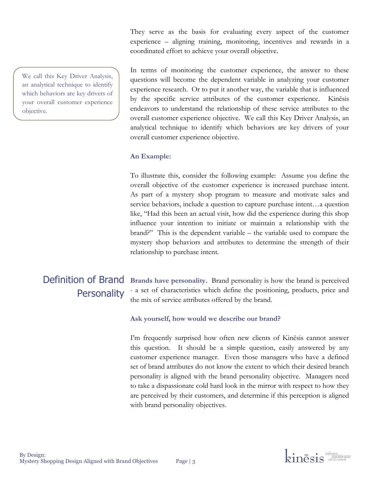We call this Key Driver Analysis, an analytical technique to identify which behaviors are key drivers of your overall customer experience objective.

They serve as the basis for evaluating every aspect of the customer experience – aligning training, monitoring, incentives and rewards in a coordinated effort to achieve your overall objective.

In terms of monitoring the customer experience, the answer to these questions will become the dependent variable in analyzing your customer experience research. Or to put it another way, the variable that is influenced by the specific service attributes of the customer experience. Kinēsis endeavors to understand the relationship of these service attributes to the overall customer experience objective. We call this Key Driver Analysis, an analytical technique to identify which behaviors are key drivers of your overall customer experience objective.

### **An Example:**

To illustrate this, consider the following example: Assume you define the overall objective of the customer experience is increased purchase intent. As part of a mystery shop program to measure and motivate sales and service behaviors, include a question to capture purchase intent…a question like, "Had this been an actual visit, how did the experience during this shop influence your intention to initiate or maintain a relationship with the brand?" This is the dependent variable – the variable used to compare the mystery shop behaviors and attributes to determine the strength of their relationship to purchase intent.

# **Personality**

Definition of Brand Brands have personality. Brand personality is how the brand is perceived - a set of characteristics which define the positioning, products, price and the mix of service attributes offered by the brand.

### **Ask yourself, how would we describe our brand?**

I'm frequently surprised how often new clients of Kinēsis cannot answer this question. It should be a simple question, easily answered by any customer experience manager. Even those managers who have a defined set of brand attributes do not know the extent to which their desired branch personality is aligned with the brand personality objective. Managers need to take a dispassionate cold hard look in the mirror with respect to how they are perceived by their customers, and determine if this perception is aligned with brand personality objectives.

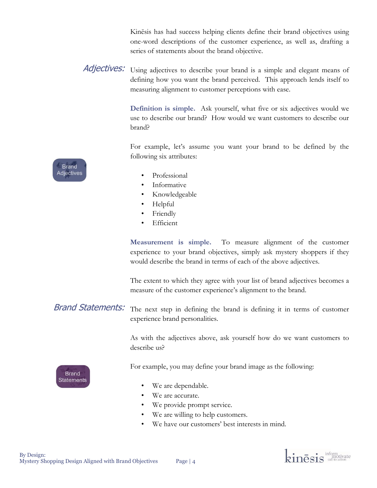Kinēsis has had success helping clients define their brand objectives using one-word descriptions of the customer experience, as well as, drafting a series of statements about the brand objective.

Adjectives: Using adjectives to describe your brand is a simple and elegant means of defining how you want the brand perceived. This approach lends itself to measuring alignment to customer perceptions with ease.

> **Definition is simple.** Ask yourself, what five or six adjectives would we use to describe our brand? How would we want customers to describe our brand?

> For example, let's assume you want your brand to be defined by the following six attributes:

- Professional
- Informative
- Knowledgeable
- Helpful
- **Friendly**
- **Efficient**

**Measurement is simple.** To measure alignment of the customer experience to your brand objectives, simply ask mystery shoppers if they would describe the brand in terms of each of the above adjectives.

The extent to which they agree with your list of brand adjectives becomes a measure of the customer experience's alignment to the brand.

The next step in defining the brand is defining it in terms of customer experience brand personalities. Brand Statements:

> As with the adjectives above, ask yourself how do we want customers to describe us?

For example, you may define your brand image as the following:

- We are dependable.
- We are accurate.
- We provide prompt service.
- We are willing to help customers.
- We have our customers' best interests in mind.



**Brand Statements** 

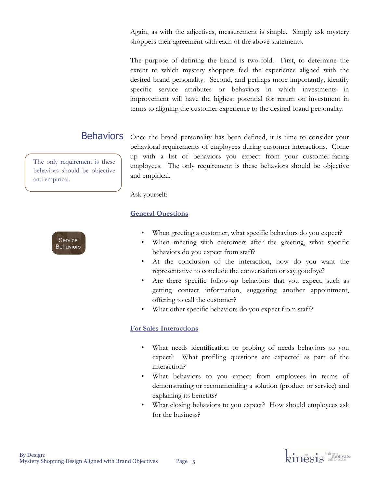Again, as with the adjectives, measurement is simple. Simply ask mystery shoppers their agreement with each of the above statements.

The purpose of defining the brand is two-fold. First, to determine the extent to which mystery shoppers feel the experience aligned with the desired brand personality. Second, and perhaps more importantly, identify specific service attributes or behaviors in which investments in improvement will have the highest potential for return on investment in terms to aligning the customer experience to the desired brand personality.

The only requirement is these behaviors should be objective and empirical.



Behaviors Once the brand personality has been defined, it is time to consider your behavioral requirements of employees during customer interactions. Come up with a list of behaviors you expect from your customer-facing employees. The only requirement is these behaviors should be objective and empirical.

Ask yourself:

### **General Questions**

- When greeting a customer, what specific behaviors do you expect?
- When meeting with customers after the greeting, what specific behaviors do you expect from staff?
- At the conclusion of the interaction, how do you want the representative to conclude the conversation or say goodbye?
- Are there specific follow-up behaviors that you expect, such as getting contact information, suggesting another appointment, offering to call the customer?
- What other specific behaviors do you expect from staff?

### **For Sales Interactions**

- What needs identification or probing of needs behaviors to you expect? What profiling questions are expected as part of the interaction?
- What behaviors to you expect from employees in terms of demonstrating or recommending a solution (product or service) and explaining its benefits?
- What closing behaviors to you expect? How should employees ask for the business?

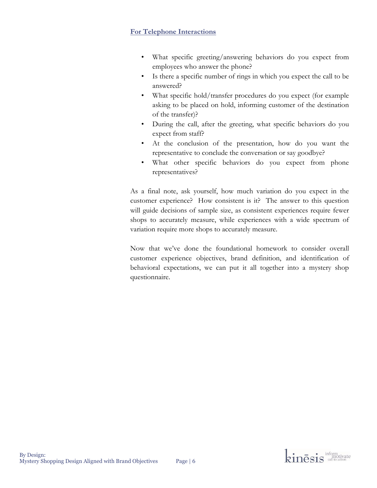### **For Telephone Interactions**

- What specific greeting/answering behaviors do you expect from employees who answer the phone?
- Is there a specific number of rings in which you expect the call to be answered?
- What specific hold/transfer procedures do you expect (for example asking to be placed on hold, informing customer of the destination of the transfer)?
- During the call, after the greeting, what specific behaviors do you expect from staff?
- At the conclusion of the presentation, how do you want the representative to conclude the conversation or say goodbye?
- What other specific behaviors do you expect from phone representatives?

As a final note, ask yourself, how much variation do you expect in the customer experience? How consistent is it? The answer to this question will guide decisions of sample size, as consistent experiences require fewer shops to accurately measure, while experiences with a wide spectrum of variation require more shops to accurately measure.

Now that we've done the foundational homework to consider overall customer experience objectives, brand definition, and identification of behavioral expectations, we can put it all together into a mystery shop questionnaire.

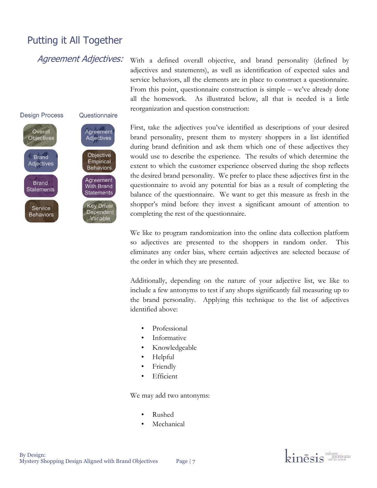## Putting it All Together

Agreement Adjectives:



With a defined overall objective, and brand personality (defined by adjectives and statements), as well as identification of expected sales and service behaviors, all the elements are in place to construct a questionnaire. From this point, questionnaire construction is simple – we've already done all the homework. As illustrated below, all that is needed is a little reorganization and question construction:

First, take the adjectives you've identified as descriptions of your desired brand personality, present them to mystery shoppers in a list identified during brand definition and ask them which one of these adjectives they would use to describe the experience. The results of which determine the extent to which the customer experience observed during the shop reflects the desired brand personality. We prefer to place these adjectives first in the questionnaire to avoid any potential for bias as a result of completing the balance of the questionnaire. We want to get this measure as fresh in the shopper's mind before they invest a significant amount of attention to completing the rest of the questionnaire.

We like to program randomization into the online data collection platform so adjectives are presented to the shoppers in random order. This eliminates any order bias, where certain adjectives are selected because of the order in which they are presented.

Additionally, depending on the nature of your adjective list, we like to include a few antonyms to test if any shops significantly fail measuring up to the brand personality. Applying this technique to the list of adjectives identified above:

- Professional
- Informative
- Knowledgeable
- Helpful
- **Friendly**
- Efficient

We may add two antonyms:

- Rushed
- **Mechanical**

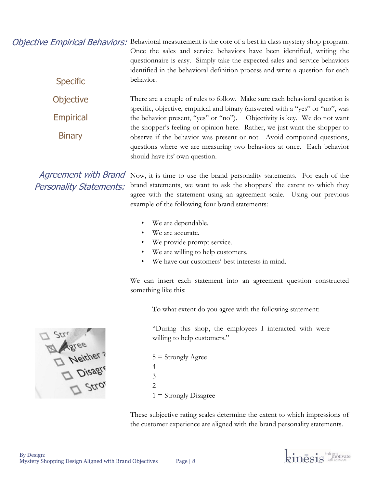Objective Empirical Behaviors: Behavioral measurement is the core of a best in class mystery shop program. Once the sales and service behaviors have been identified, writing the questionnaire is easy. Simply take the expected sales and service behaviors identified in the behavioral definition process and write a question for each behavior. **Specific** 

> There are a couple of rules to follow. Make sure each behavioral question is specific, objective, empirical and binary (answered with a "yes" or "no", was the behavior present, "yes" or "no"). Objectivity is key. We do not want the shopper's feeling or opinion here. Rather, we just want the shopper to observe if the behavior was present or not. Avoid compound questions, questions where we are measuring two behaviors at once. Each behavior should have its' own question. **Objective** Empirical **Binary**

Agreement with Brand Personality Statements:

Now, it is time to use the brand personality statements. For each of the brand statements, we want to ask the shoppers' the extent to which they agree with the statement using an agreement scale. Using our previous example of the following four brand statements:

- We are dependable.
- We are accurate.
- We provide prompt service.
- We are willing to help customers.
- We have our customers' best interests in mind.

We can insert each statement into an agreement question constructed something like this:

To what extent do you agree with the following statement:

"During this shop, the employees I interacted with were willing to help customers."

5 = Strongly Agree 4 3  $\overline{2}$  $1 =$  Strongly Disagree

These subjective rating scales determine the extent to which impressions of the customer experience are aligned with the brand personality statements.



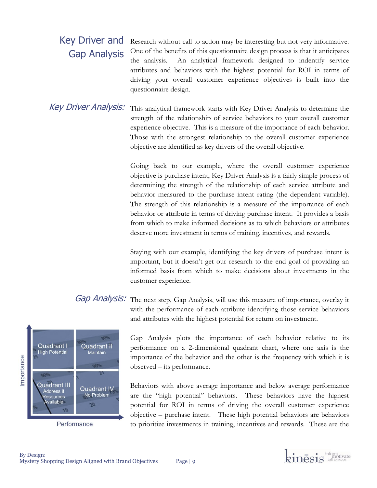### Research without call to action may be interesting but not very informative. One of the benefits of this questionnaire design process is that it anticipates the analysis. An analytical framework designed to indentify service attributes and behaviors with the highest potential for ROI in terms of driving your overall customer experience objectives is built into the questionnaire design. Key Driver and Gap Analysis

This analytical framework starts with Key Driver Analysis to determine the strength of the relationship of service behaviors to your overall customer experience objective. This is a measure of the importance of each behavior. Those with the strongest relationship to the overall customer experience objective are identified as key drivers of the overall objective. Key Driver Analysis:

> Going back to our example, where the overall customer experience objective is purchase intent, Key Driver Analysis is a fairly simple process of determining the strength of the relationship of each service attribute and behavior measured to the purchase intent rating (the dependent variable). The strength of this relationship is a measure of the importance of each behavior or attribute in terms of driving purchase intent. It provides a basis from which to make informed decisions as to which behaviors or attributes deserve more investment in terms of training, incentives, and rewards.

> Staying with our example, identifying the key drivers of purchase intent is important, but it doesn't get our research to the end goal of providing an informed basis from which to make decisions about investments in the customer experience.

Gap Analysis: The next step, Gap Analysis, will use this measure of importance, overlay it with the performance of each attribute identifying those service behaviors and attributes with the highest potential for return on investment.



Gap Analysis plots the importance of each behavior relative to its performance on a 2-dimensional quadrant chart, where one axis is the importance of the behavior and the other is the frequency with which it is observed – its performance.

Behaviors with above average importance and below average performance are the "high potential" behaviors. These behaviors have the highest potential for ROI in terms of driving the overall customer experience objective – purchase intent. These high potential behaviors are behaviors to prioritize investments in training, incentives and rewards. These are the